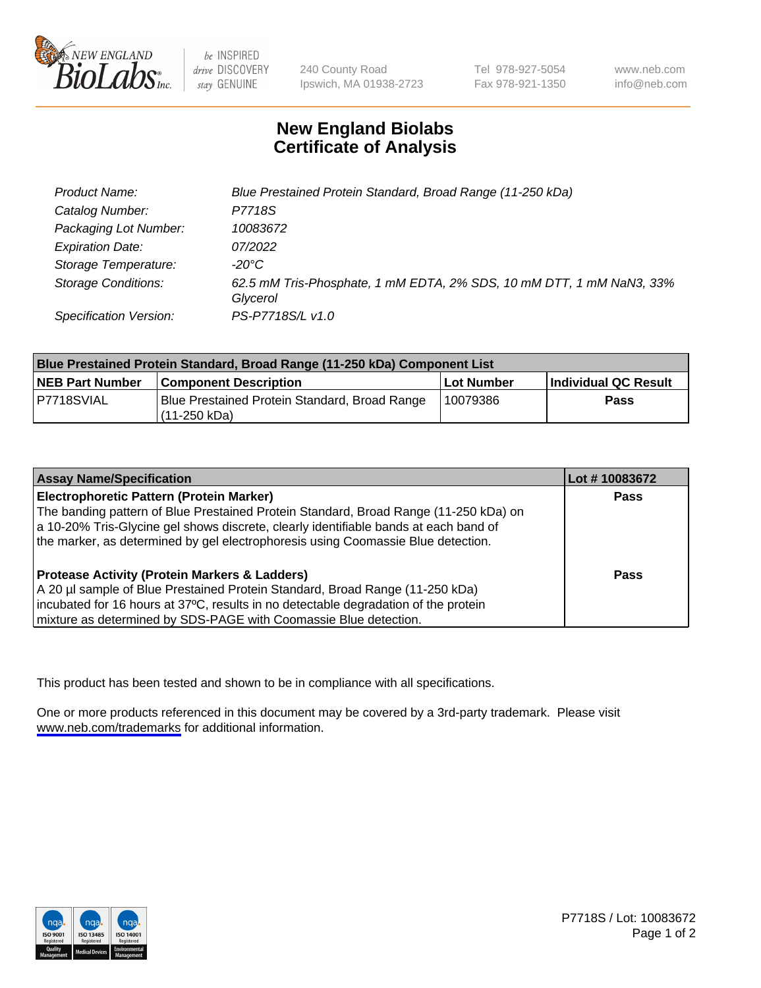

be INSPIRED drive DISCOVERY stay GENUINE

240 County Road Ipswich, MA 01938-2723 Tel 978-927-5054 Fax 978-921-1350

www.neb.com info@neb.com

## **New England Biolabs Certificate of Analysis**

| Product Name:                 | Blue Prestained Protein Standard, Broad Range (11-250 kDa)                       |
|-------------------------------|----------------------------------------------------------------------------------|
| Catalog Number:               | P7718S                                                                           |
| Packaging Lot Number:         | 10083672                                                                         |
| <b>Expiration Date:</b>       | 07/2022                                                                          |
| Storage Temperature:          | -20°C                                                                            |
| <b>Storage Conditions:</b>    | 62.5 mM Tris-Phosphate, 1 mM EDTA, 2% SDS, 10 mM DTT, 1 mM NaN3, 33%<br>Glycerol |
| <b>Specification Version:</b> | PS-P7718S/L v1.0                                                                 |

| <b>Blue Prestained Protein Standard, Broad Range (11-250 kDa) Component List</b> |                                                                 |              |                      |  |
|----------------------------------------------------------------------------------|-----------------------------------------------------------------|--------------|----------------------|--|
| <b>NEB Part Number</b>                                                           | <b>Component Description</b>                                    | l Lot Number | Individual QC Result |  |
| P7718SVIAL                                                                       | Blue Prestained Protein Standard, Broad Range<br>l (11-250 kDa) | 10079386     | <b>Pass</b>          |  |

| <b>Assay Name/Specification</b>                                                      | Lot #10083672 |
|--------------------------------------------------------------------------------------|---------------|
| <b>Electrophoretic Pattern (Protein Marker)</b>                                      | <b>Pass</b>   |
| The banding pattern of Blue Prestained Protein Standard, Broad Range (11-250 kDa) on |               |
| a 10-20% Tris-Glycine gel shows discrete, clearly identifiable bands at each band of |               |
| the marker, as determined by gel electrophoresis using Coomassie Blue detection.     |               |
|                                                                                      |               |
| <b>Protease Activity (Protein Markers &amp; Ladders)</b>                             | <b>Pass</b>   |
| A 20 µl sample of Blue Prestained Protein Standard, Broad Range (11-250 kDa)         |               |
| incubated for 16 hours at 37°C, results in no detectable degradation of the protein  |               |
| mixture as determined by SDS-PAGE with Coomassie Blue detection.                     |               |

This product has been tested and shown to be in compliance with all specifications.

One or more products referenced in this document may be covered by a 3rd-party trademark. Please visit <www.neb.com/trademarks>for additional information.